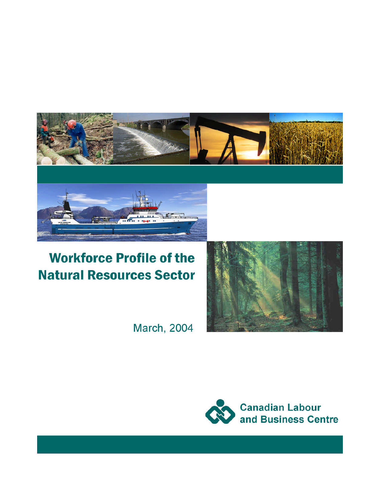

# **Workforce Profile of the Natural Resources Sector**



**March, 2004** 

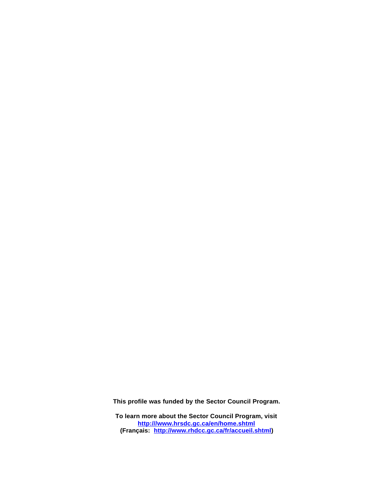**This profile was funded by the Sector Council Program.** 

**To learn more about the Sector Council Program, visit http:///www.hrsdc.gc.ca/en/home.shtml (Français: http://www.rhdcc.gc.ca/fr/accueil.shtml)**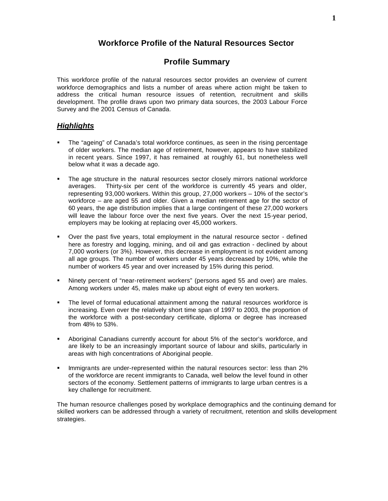# **Workforce Profile of the Natural Resources Sector**

## **Profile Summary**

This workforce profile of the natural resources sector provides an overview of current workforce demographics and lists a number of areas where action might be taken to address the critical human resource issues of retention, recruitment and skills development. The profile draws upon two primary data sources, the 2003 Labour Force Survey and the 2001 Census of Canada.

#### *Highlights*

- � The "ageing" of Canada's total workforce continues, as seen in the rising percentage of older workers. The median age of retirement, however, appears to have stabilized in recent years. Since 1997, it has remained at roughly 61, but nonetheless well below what it was a decade ago.
- The age structure in the natural resources sector closely mirrors national workforce averages. Thirty-six per cent of the workforce is currently 45 years and older, representing 93,000 workers. Within this group, 27,000 workers – 10% of the sector's workforce – are aged 55 and older. Given a median retirement age for the sector of 60 years, the age distribution implies that a large contingent of these 27,000 workers will leave the labour force over the next five years. Over the next 15-year period, employers may be looking at replacing over 45,000 workers.
- � Over the past five years, total employment in the natural resource sector defined here as forestry and logging, mining, and oil and gas extraction - declined by about 7,000 workers (or 3%). However, this decrease in employment is not evident among all age groups. The number of workers under 45 years decreased by 10%, while the number of workers 45 year and over increased by 15% during this period.
- � Ninety percent of "near-retirement workers" (persons aged 55 and over) are males. Among workers under 45, males make up about eight of every ten workers.
- � The level of formal educational attainment among the natural resources workforce is increasing. Even over the relatively short time span of 1997 to 2003, the proportion of the workforce with a post-secondary certificate, diploma or degree has increased from 48% to 53%.
- � Aboriginal Canadians currently account for about 5% of the sector's workforce, and are likely to be an increasingly important source of labour and skills, particularly in areas with high concentrations of Aboriginal people.
- � Immigrants are under-represented within the natural resources sector: less than 2% of the workforce are recent immigrants to Canada, well below the level found in other sectors of the economy. Settlement patterns of immigrants to large urban centres is a key challenge for recruitment.

The human resource challenges posed by workplace demographics and the continuing demand for skilled workers can be addressed through a variety of recruitment, retention and skills development strategies.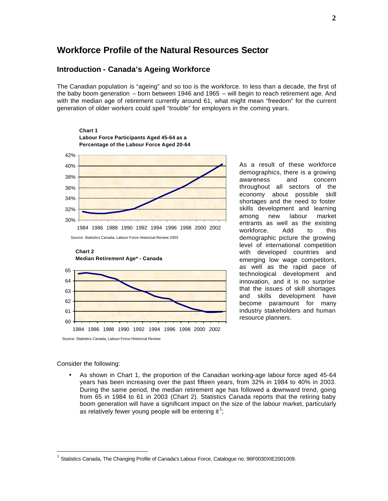# **Workforce Profile of the Natural Resources Sector**

### **Introduction - Canada's Ageing Workforce**

The Canadian population is "ageing" and so too is the workforce. In less than a decade, the first of the baby boom generation – born between 1946 and 1965 – will begin to reach retirement age. And with the median age of retirement currently around 61, what might mean "freedom" for the current generation of older workers could spell "trouble" for employers in the coming years.



As a result of these workforce demographics, there is a growing awareness and concern throughout all sectors of the economy about possible skill shortages and the need to foster skills development and learning among new labour market entrants as well as the existing workforce. Add to this demographic picture the growing level of international competition with developed countries and emerging low wage competitors, as well as the rapid pace of technological development and innovation, and it is no surprise that the issues of skill shortages and skills development have become paramount for many industry stakeholders and human resource planners.

Consider the following:

As shown in Chart 1, the proportion of the Canadian working-age labour force aged 45-64 years has been increasing over the past fifteen years, from 32% in 1984 to 40% in 2003. During the same period, the median retirement age has followed a downward trend, going from 65 in 1984 to 61 in 2003 (Chart 2). Statistics Canada reports that the retiring baby boom generation will have a significant impact on the size of the labour market, particularly as relatively fewer young people will be entering it<sup>1</sup>;

<sup>1</sup>Statistics Canada, The Changing Profile of Canada's Labour Force, Catalogue no. 96F0030XIE2001009.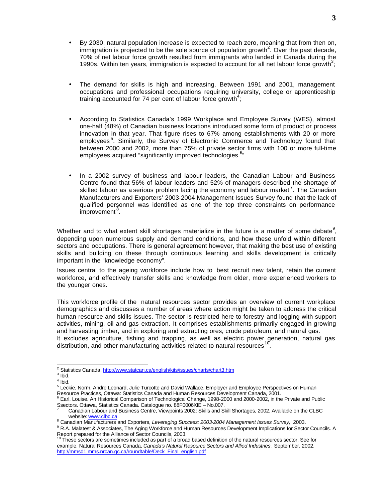- By 2030, natural population increase is expected to reach zero, meaning that from then on,  $\mathsf{im}$  migration is projected to be the sole source of population growth<sup>2</sup>. Over the past decade, 70% of net labour force growth resulted from immigrants who landed in Canada during the 1990s. Within ten years, immigration is expected to account for all net labour force growth<sup>3</sup>;
- The demand for skills is high and increasing. Between 1991 and 2001, management occupations and professional occupations requiring university, college or apprenticeship training accounted for 74 per cent of labour force growth<sup>4</sup>;
- According to Statistics Canada's 1999 Workplace and Employee Survey (WES), almost one-half (48%) of Canadian business locations introduced some form of product or process innovation in that year. That figure rises to 67% among establishments with 20 or more employees<sup>5</sup>. Similarly, the Survey of Electronic Commerce and Technology found that between 2000 and 2002, more than 75% of private sector firms with 100 or more full-time employees acquired "significantly improved technologies.<sup>6</sup>"
- In a 2002 survey of business and labour leaders, the Canadian Labour and Business Centre found that 56% of labour leaders and 52% of managers described the shortage of skilled labour as a serious problem facing the economy and labour market<sup>7</sup>. The Canadian Manufacturers and Exporters' 2003-2004 Management Issues Survey found that the lack of qualified personnel was identified as one of the top three constraints on performance improvement<sup>8</sup>.

Whether and to what extent skill shortages materialize in the future is a matter of some debate<sup>9</sup>, depending upon numerous supply and demand conditions, and how these unfold within different sectors and occupations. There is general agreement however, that making the best use of existing skills and building on these through continuous learning and skills development is critically important in the "knowledge economy".

Issues central to the ageing workforce include how to best recruit new talent, retain the current workforce, and effectively transfer skills and knowledge from older, more experienced workers to the younger ones.

This workforce profile of the natural resources sector provides an overview of current workplace demographics and discusses a number of areas where action might be taken to address the critical human resource and skills issues. The sector is restricted here to forestry and logging with support activities, mining, oil and gas extraction. It comprises establishments primarily engaged in growing and harvesting timber, and in exploring and extracting ores, crude petroleum, and natural gas. It excludes agriculture, fishing and trapping, as well as electric power generation, natural gas distribution, and other manufacturing activities related to natural resources "

<sup>&</sup>lt;sup>2</sup> Statistics Canada, http://www.statcan.ca/english/kits/issues/charts/chart3.htm

 $3$  Ibid.

<sup>4</sup> Ibid.

<sup>&</sup>lt;sup>4</sup> Ibid.<br><sup>5</sup> Leckie, Norm, Andre Leonard, Julie Turcotte and David Wallace. Employer and Employee Perspectives on Human Resource Practices, Ottawa: Statistics Canada and Human Resources Development Canada, 2001.<br><sup>6</sup> Earl, Louise. An Historical Comparison of Technological Change, 1998-2000 and 2000-2002, in the Private and Public

Ssectors. Ottawa, Statistics Canada. Catalogue no. 88F0006XIE – No.007.

<sup>7</sup> Canadian Labour and Business Centre, Viewpoints 2002: Skills and Skill Shortages, 2002. Available on the CLBC website: www.clbc.ca

<sup>8</sup> Canadian Manufacturers and Exporters, *Leveraging Success: 2003-2004 Management Issues Survey,* 2003.

<sup>&</sup>lt;sup>9</sup> R.A. Malatest & Associates, The Aging Workforce and Human Resources Development Implications for Sector Councils. A

Report prepared for the Alliance of Sector Councils, 2003.<br><sup>10</sup> These sectors are sometimes included as part of a broad based definition of the natural resources sector. See for example, Natural Resources Canada, *Canada's Natural Resource Sectors and Allied Industries* , September, 2002. http://mmsd1.mms.nrcan.gc.ca/roundtable/Deck\_Final\_english.pdf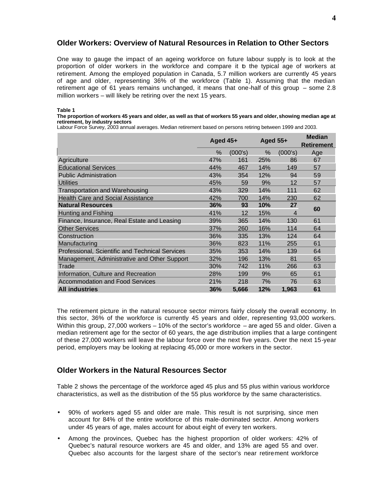#### **Older Workers: Overview of Natural Resources in Relation to Other Sectors**

One way to gauge the impact of an ageing workforce on future labour supply is to look at the proportion of older workers in the workforce and compare it b the typical age of workers at retirement. Among the employed population in Canada, 5.7 million workers are currently 45 years of age and older, representing 36% of the workforce (Table 1). Assuming that the median retirement age of 61 years remains unchanged, it means that one-half of this group – some 2.8 million workers – will likely be retiring over the next 15 years.

**Table 1** 

#### **The proportion of workers 45 years and older, as well as that of workers 55 years and older, showing median age at retirement, by industry sectors**

Labour Force Survey, 2003 annual averages. Median retirement based on persons retiring between 1999 and 2003.

|                                                 | Aged $45+$ |                 | Aged $55+$ |                   | <b>Median</b><br><b>Retirement</b> |  |
|-------------------------------------------------|------------|-----------------|------------|-------------------|------------------------------------|--|
|                                                 | $\%$       | (000's)         | $\%$       | (000's)           | Age                                |  |
| Agriculture                                     | 47%        | 161             | 25%        | 86                | 67                                 |  |
| <b>Educational Services</b>                     | 44%        | 467             | 14%        | 149               | 57                                 |  |
| <b>Public Administration</b>                    | 43%        | 354             | 12%        | 94                | 59                                 |  |
| <b>Utilities</b>                                | 45%        | 59              | 9%         | $12 \overline{ }$ | 57                                 |  |
| <b>Transportation and Warehousing</b>           | 43%        | 329             | 14%        | 111               | 62                                 |  |
| <b>Health Care and Social Assistance</b>        | 42%        | 700             | 14%        | 230               | 62                                 |  |
| <b>Natural Resources</b>                        | 36%        | 93              | 10%        | 27                | 60                                 |  |
| Hunting and Fishing                             | 41%        | 12 <sup>°</sup> | 15%        | 4                 |                                    |  |
| Finance, Insurance, Real Estate and Leasing     | 39%        | 365             | 14%        | 130               | 61                                 |  |
| <b>Other Services</b>                           | 37%        | 260             | 16%        | 114               | 64                                 |  |
| Construction                                    | 36%        | 335             | 13%        | 124               | 64                                 |  |
| Manufacturing                                   | 36%        | 823             | 11%        | 255               | 61                                 |  |
| Professional, Scientific and Technical Services | 35%        | 353             | 14%        | 139               | 64                                 |  |
| Management, Administrative and Other Support    | 32%        | 196             | 13%        | 81                | 65                                 |  |
| Trade                                           | 30%        | 742             | 11%        | 266               | 63                                 |  |
| Information, Culture and Recreation             | 28%        | 199             | 9%         | 65                | 61                                 |  |
| <b>Accommodation and Food Services</b>          | 21%        | 218             | 7%         | 76                | 63                                 |  |
| <b>All industries</b>                           | 36%        | 5,666           | 12%        | 1.963             | 61                                 |  |

The retirement picture in the natural resource sector mirrors fairly closely the overall economy. In this sector, 36% of the workforce is currently 45 years and older, representing 93,000 workers. Within this group, 27,000 workers – 10% of the sector's workforce – are aged 55 and older. Given a median retirement age for the sector of 60 years, the age distribution implies that a large contingent of these 27,000 workers will leave the labour force over the next five years. Over the next 15-year period, employers may be looking at replacing 45,000 or more workers in the sector.

## **Older Workers in the Natural Resources Sector**

Table 2 shows the percentage of the workforce aged 45 plus and 55 plus within various workforce characteristics, as well as the distribution of the 55 plus workforce by the same characteristics.

- 90% of workers aged 55 and older are male. This result is not surprising, since men account for 84% of the entire workforce of this male-dominated sector. Among workers under 45 years of age, males account for about eight of every ten workers.
- Among the provinces, Quebec has the highest proportion of older workers: 42% of Quebec's natural resource workers are 45 and older, and 13% are aged 55 and over. Quebec also accounts for the largest share of the sector's near retirement workforce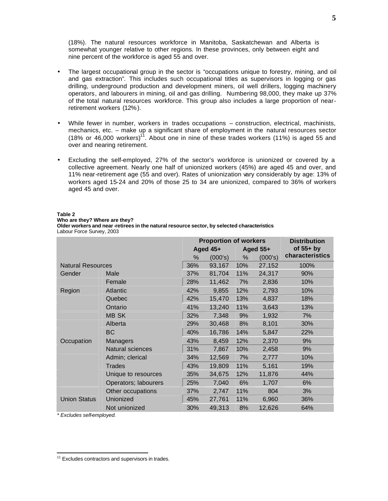(18%). The natural resources workforce in Manitoba, Saskatchewan and Alberta is somewhat younger relative to other regions. In these provinces, only between eight and nine percent of the workforce is aged 55 and over.

- The largest occupational group in the sector is "occupations unique to forestry, mining, and oil and gas extraction". This includes such occupational titles as supervisors in logging or gas drilling, underground production and development miners, oil well drillers, logging machinery operators, and labourers in mining, oil and gas drilling. Numbering 98,000, they make up 37% of the total natural resources workforce. This group also includes a large proportion of nearretirement workers (12%).
- While fewer in number, workers in trades occupations  $-$  construction, electrical, machinists, mechanics, etc. – make up a significant share of employment in the natural resources sector (18% or 46,000 workers)<sup>11</sup>. About one in nine of these trades workers (11%) is aged 55 and over and nearing retirement.
- Excluding the self-employed, 27% of the sector's workforce is unionized or covered by a collective agreement. Nearly one half of unionized workers (45%) are aged 45 and over, and 11% near-retirement age (55 and over). Rates of unionization vary considerably by age: 13% of workers aged 15-24 and 20% of those 25 to 34 are unionized, compared to 36% of workers aged 45 and over.

#### **Table 2**

**Who are they? Where are they?** 

**Older workers and near -retirees in the natural resource sector, by selected characteristics**  Labour Force Survey, 2003

|                          |                      | <b>Proportion of workers</b> |         |            | <b>Distribution</b> |                 |  |
|--------------------------|----------------------|------------------------------|---------|------------|---------------------|-----------------|--|
|                          |                      | Aged $45+$                   |         | Aged $55+$ |                     | of $55+$ by     |  |
|                          |                      | %                            | (000's) | %          | (000's)             | characteristics |  |
| <b>Natural Resources</b> |                      | 36%                          | 93,167  | 10%        | 27,152              | 100%            |  |
| Gender                   | Male                 | 37%                          | 81,704  | 11%        | 24,317              | 90%             |  |
|                          | Female               | 28%                          | 11,462  | 7%         | 2,836               | 10%             |  |
| Region                   | Atlantic             | 42%                          | 9,855   | 12%        | 2,793               | 10%             |  |
|                          | Quebec               | 42%                          | 15,470  | 13%        | 4,837               | 18%             |  |
|                          | Ontario              | 41%                          | 13,240  | 11%        | 3,643               | 13%             |  |
|                          | <b>MB SK</b>         | 32%                          | 7,348   | 9%         | 1,932               | 7%              |  |
|                          | Alberta              | 29%                          | 30,468  | 8%         | 8,101               | 30%             |  |
|                          | <b>BC</b>            | 40%                          | 16,786  | 14%        | 5,847               | 22%             |  |
| Occupation               | Managers             | 43%                          | 8,459   | 12%        | 2,370               | 9%              |  |
|                          | Natural sciences     | 31%                          | 7,867   | 10%        | 2,458               | 9%              |  |
|                          | Admin; clerical      | 34%                          | 12,569  | 7%         | 2,777               | 10%             |  |
|                          | <b>Trades</b>        | 43%                          | 19,809  | 11%        | 5,161               | 19%             |  |
|                          | Unique to resources  | 35%                          | 34,675  | 12%        | 11,876              | 44%             |  |
|                          | Operators; labourers | 25%                          | 7,040   | 6%         | 1,707               | 6%              |  |
|                          | Other occupations    | 37%                          | 2,747   | 11%        | 804                 | 3%              |  |
| <b>Union Status</b>      | Unionized            | 45%                          | 27,761  | 11%        | 6,960               | 36%             |  |
|                          | Not unionized        | 30%                          | 49,313  | 8%         | 12,626              | 64%             |  |

*\* Excludes self-employed.* 

<sup>&</sup>lt;sup>11</sup> Excludes contractors and supervisors in trades.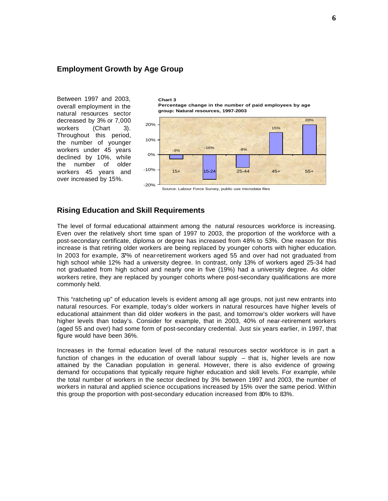#### **Employment Growth by Age Group**

Between 1997 and 2003, overall employment in the natural resources sector decreased by 3% or 7,000 workers (Chart 3). Throughout this period, the number of younger workers under 45 years declined by 10%, while the number of older workers 45 years and over increased by 15%.

**Chart 3 Percentage change in the number of paid employees by age group: Natural resources, 1997-2003**



#### **Rising Education and Skill Requirements**

The level of formal educational attainment among the natural resources workforce is increasing. Even over the relatively short time span of 1997 to 2003, the proportion of the workforce with a post-secondary certificate, diploma or degree has increased from 48% to 53%. One reason for this increase is that retiring older workers are being replaced by younger cohorts with higher education. In 2003 for example, 37% of near-retirement workers aged 55 and over had not graduated from high school while 12% had a university degree. In contrast, only 13% of workers aged 25-34 had not graduated from high school and nearly one in five (19%) had a university degree. As older workers retire, they are replaced by younger cohorts where post-secondary qualifications are more commonly held.

This "ratcheting up" of education levels is evident among all age groups, not just new entrants into natural resources. For example, today's older workers in natural resources have higher levels of educational attainment than did older workers in the past, and tomorrow's older workers will have higher levels than today's. Consider for example, that in 2003, 40% of near-retirement workers (aged 55 and over) had some form of post-secondary credential. Just six years earlier, in 1997, that figure would have been 36%.

Increases in the formal education level of the natural resources sector workforce is in part a function of changes in the education of overall labour supply – that is, higher levels are now attained by the Canadian population in general. However, there is also evidence of growing demand for occupations that typically require higher education and skill levels. For example, while the total number of workers in the sector declined by 3% between 1997 and 2003, the number of workers in natural and applied science occupations increased by 15% over the same period. Within this group the proportion with post-secondary education increased from 80% to 83%.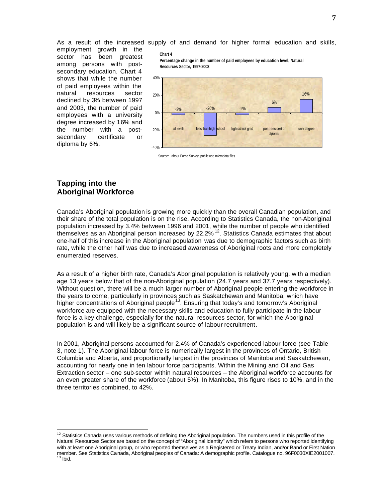employment growth in the sector has been greatest among persons with postsecondary education. Chart 4 shows that while the number of paid employees within the natural resources sector declined by 3% between 1997 and 2003, the number of paid employees with a university degree increased by 16% and the number with a postsecondary certificate or diploma by 6%.

As a result of the increased supply of and demand for higher formal education and skills,

#### **Chart 4**

**Percentage change in the number of paid employees by education level, Natural Resources Sector, 1997-2003**



Source: Labour Force Survey, public use microdata files

## **Tapping into the Aboriginal Workforce**

Canada's Aboriginal population is growing more quickly than the overall Canadian population, and their share of the total population is on the rise. According to Statistics Canada, the non-Aboriginal population increased by 3.4% between 1996 and 2001, while the number of people who identified themselves as an Aboriginal person increased by 22.2% <sup>12</sup>. Statistics Canada estimates that about one-half of this increase in the Aboriginal population was due to demographic factors such as birth rate, while the other half was due to increased awareness of Aboriginal roots and more completely enumerated reserves.

As a result of a higher birth rate, Canada's Aboriginal population is relatively young, with a median age 13 years below that of the non-Aboriginal population (24.7 years and 37.7 years respectively). Without question, there will be a much larger number of Aboriginal people entering the workforce in the years to come, particularly in provinces such as Saskatchewan and Manitoba, which have higher concentrations of Aboriginal people<sup>13</sup>. Ensuring that today's and tomorrow's Aboriginal workforce are equipped with the necessary skills and education to fully participate in the labour force is a key challenge, especially for the natural resources sector, for which the Aboriginal population is and will likely be a significant source of labour recruitment.

In 2001, Aboriginal persons accounted for 2.4% of Canada's experienced labour force (see Table 3, note 1). The Aboriginal labour force is numerically largest in the provinces of Ontario, British Columbia and Alberta, and proportionally largest in the provinces of Manitoba and Saskatchewan, accounting for nearly one in ten labour force participants. Within the Mining and Oil and Gas Extraction sector – one sub-sector within natural resources – the Aboriginal workforce accounts for an even greater share of the workforce (about 5%). In Manitoba, this figure rises to 10%, and in the three territories combined, to 42%.

<sup>&</sup>lt;sup>12</sup> Statistics Canada uses various methods of defining the Aboriginal population. The numbers used in this profile of the Natural Resources Sector are based on the concept of "Aboriginal identity" which refers to persons who reported identifying with at least one Aboriginal group, or who reported themselves as a Registered or Treaty Indian, and/or Band or First Nation member. See Statistics Canada, Aboriginal peoples of Canada: A demographic profile. Catalogue no. 96F0030XIE2001007. 13 Ibid.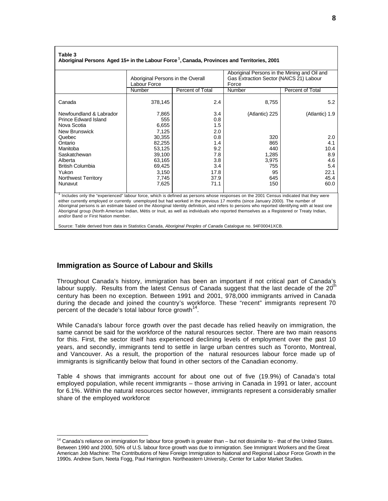#### **Table 3**

**Aboriginal Persons Aged 15+ in the Labour Force 1 , Canada, Provinces and Territories, 2001** 

|                            | Aboriginal Persons in the Overall<br>Labour Force |                  | Aboriginal Persons in the Mining and Oil and<br>Gas Extraction Sector (NAICS 21) Labour<br>Force |                  |  |  |
|----------------------------|---------------------------------------------------|------------------|--------------------------------------------------------------------------------------------------|------------------|--|--|
|                            | Number                                            | Percent of Total | Number                                                                                           | Percent of Total |  |  |
| Canada                     | 378,145                                           | 2.4              | 8,755                                                                                            | 5.2              |  |  |
| Newfoundland & Labrador    | 7,865                                             | 3.4              | (Atlantic) 225                                                                                   | (Atlantic) 1.9   |  |  |
| Prince Edward Island       | 555                                               | 0.8              |                                                                                                  |                  |  |  |
| Nova Scotia                | 6,655                                             | 1.5              |                                                                                                  |                  |  |  |
| New Brunswick              | 7,125                                             | 2.0              |                                                                                                  |                  |  |  |
| Quebec                     | 30.355                                            | 0.8              | 320                                                                                              | 2.0              |  |  |
| Ontario                    | 82,255                                            | 1.4              | 865                                                                                              | 4.1              |  |  |
| Manitoba                   | 53,125                                            | 9.2              | 440                                                                                              | 10.4             |  |  |
| Saskatchewan               | 39,100                                            | 7.8              | 1,285                                                                                            | 8.9              |  |  |
| Alberta                    | 63,165                                            | 3.8              | 3,975                                                                                            | 4.6              |  |  |
| <b>British Columbia</b>    | 69,425                                            | 3.4              | 755                                                                                              | 5.4              |  |  |
| Yukon                      | 3,150                                             | 17.8             | 95                                                                                               | 22.1             |  |  |
| <b>Northwest Territory</b> | 7,745                                             | 37.9             | 645                                                                                              | 45.4             |  |  |
| Nunavut                    | 7,625                                             | 71.1             | 150                                                                                              | 60.0             |  |  |
|                            |                                                   |                  |                                                                                                  |                  |  |  |

1 Includes only the "experienced" labour force, which is defined as persons whose responses on the 2001 Census indicated that they were either currently employed or currently unemployed but had worked in the previous 17 months (since January 2000). The number of Aboriginal persons is an estimate based on the Aboriginal Identity definition, and refers to persons who reported identifying with at least one Aboriginal group (North American Indian, Métis or Inuit, as well as individuals who reported themselves as a Registered or Treaty Indian, and/or Band or First Nation member.

Source: Table derived from data in Statistics Canada, *Aboriginal Peoples of Canada* Catalogue no. 94F00041XCB.

#### **Immigration as Source of Labour and Skills**

Throughout Canada's history, immigration has been an important if not critical part of Canada's labour supply. Results from the latest Census of Canada suggest that the last decade of the 20<sup>th</sup> century has been no exception. Between 1991 and 2001, 978,000 immigrants arrived in Canada during the decade and joined the country's workforce. These "recent" immigrants represent 70 percent of the decade's total labour force growth $^{14}$ .

While Canada's labour force growth over the past decade has relied heavily on immigration, the same cannot be said for the workforce of the natural resources sector. There are two main reasons for this. First, the sector itself has experienced declining levels of employment over the past 10 years, and secondly, immigrants tend to settle in large urban centres such as Toronto, Montreal, and Vancouver. As a result, the proportion of the natural resources labour force made up of immigrants is significantly below that found in other sectors of the Canadian economy.

Table 4 shows that immigrants account for about one out of five (19.9%) of Canada's total employed population, while recent immigrants – those arriving in Canada in 1991 or later, account for 6.1%. Within the natural resources sector however, immigrants represent a considerably smaller share of the employed workforce:

<sup>&</sup>lt;sup>14</sup> Canada's reliance on immigration for labour force growth is greater than – but not dissimilar to - that of the United States. Between 1990 and 2000, 50% of U.S. labour force growth was due to immigration. See Immigrant Workers and the Great American Job Machine: The Contributions of New Foreign Immigration to National and Regional Labour Force Growth in the 1990s. Andrew Sum, Neeta Fogg, Paul Harrington. Northeastern University, Center for Labor Market Studies.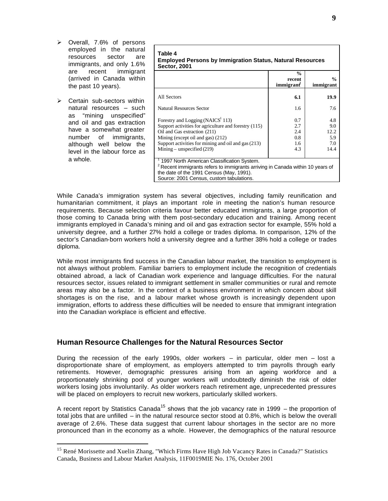- � Overall, 7.6% of persons employed in the natural resources sector are immigrants, and only 1.6% are recent immigrant (arrived in Canada within the past 10 years).
- $\triangleright$  Certain sub-sectors within natural resources – such as "mining unspecified" and oil and gas extraction have a somewhat greater number of immigrants, although well below the level in the labour force as a whole.

| Table 4<br><b>Employed Persons by Immigration Status, Natural Resources</b><br><b>Sector, 2001</b>                                                                                                                                                                 |                                        |                                          |  |  |  |  |
|--------------------------------------------------------------------------------------------------------------------------------------------------------------------------------------------------------------------------------------------------------------------|----------------------------------------|------------------------------------------|--|--|--|--|
|                                                                                                                                                                                                                                                                    | $\frac{0}{0}$<br>recent<br>immigrant   | $\frac{0}{0}$<br>immigrant               |  |  |  |  |
| All Sectors                                                                                                                                                                                                                                                        | 6.1                                    | 19.9                                     |  |  |  |  |
| Natural Resources Sector                                                                                                                                                                                                                                           | 1.6                                    | 7.6                                      |  |  |  |  |
| Forestry and Logging (NAICS <sup>1</sup> 113)<br>Support activities for agriculture and forestry (115)<br>Oil and Gas extraction (211)<br>Mining (except oil and gas) (212)<br>Support activities for mining and oil and gas (213)<br>Mining – unspecified $(219)$ | 0.7<br>2.7<br>2.4<br>0.8<br>1.6<br>4.3 | 4.8<br>9.0<br>12.2<br>5.9<br>7.0<br>14.4 |  |  |  |  |
| 1997 North American Classification System.<br>$2$ Recent immigrants refers to immigrants arriving in Canada within 10 years of<br>the date of the 1991 Census (May, 1991).<br>Source: 2001 Census, custom tabulations.                                             |                                        |                                          |  |  |  |  |

While Canada's immigration system has several objectives, including family reunification and humanitarian commitment, it plays an important role in meeting the nation's human resource requirements. Because selection criteria favour better educated immigrants, a large proportion of those coming to Canada bring with them post-secondary education and training. Among recent immigrants employed in Canada's mining and oil and gas extraction sector for example, 55% hold a university degree, and a further 27% hold a college or trades diploma. In comparison, 12% of the sector's Canadian-born workers hold a university degree and a further 38% hold a college or trades diploma.

While most immigrants find success in the Canadian labour market, the transition to employment is not always without problem. Familiar barriers to employment include the recognition of credentials obtained abroad, a lack of Canadian work experience and language difficulties. For the natural resources sector, issues related to immigrant settlement in smaller communities or rural and remote areas may also be a factor. In the context of a business environment in which concern about skill shortages is on the rise, and a labour market whose growth is increasingly dependent upon immigration, efforts to address these difficulties will be needed to ensure that immigrant integration into the Canadian workplace is efficient and effective.

## **Human Resource Challenges for the Natural Resources Sector**

During the recession of the early 1990s, older workers – in particular, older men – lost a disproportionate share of employment, as employers attempted to trim payrolls through early retirements. However, demographic pressures arising from an ageing workforce and a proportionately shrinking pool of younger workers will undoubtedly diminish the risk of older workers losing jobs involuntarily. As older workers reach retirement age, unprecedented pressures will be placed on employers to recruit new workers, particularly skilled workers.

A recent report by Statistics Canada<sup>15</sup> shows that the job vacancy rate in 1999 – the proportion of total jobs that are unfilled – in the natural resource sector stood at 0.8%, which is below the overall average of 2.6%. These data suggest that current labour shortages in the sector are no more pronounced than in the economy as a whole. However, the demographics of the natural resource

<sup>&</sup>lt;sup>15</sup> René Morissette and Xuelin Zhang, "Which Firms Have High Job Vacancy Rates in Canada?" Statistics Canada, Business and Labour Market Analysis, 11F0019MIE No. 176, October 2001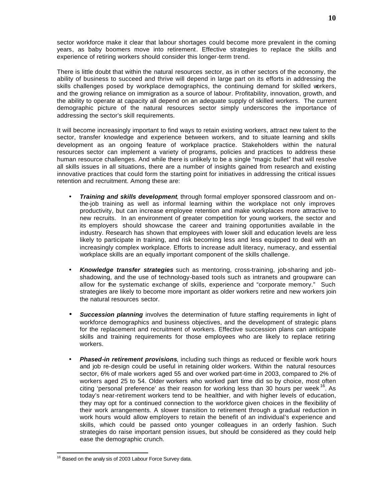sector workforce make it clear that labour shortages could become more prevalent in the coming years, as baby boomers move into retirement. Effective strategies to replace the skills and experience of retiring workers should consider this longer-term trend.

There is little doubt that within the natural resources sector, as in other sectors of the economy, the ability of business to succeed and thrive will depend in large part on its efforts in addressing the skills challenges posed by workplace demographics, the continuing demand for skilled workers, and the growing reliance on immigration as a source of labour. Profitability, innovation, growth, and the ability to operate at capacity all depend on an adequate supply of skilled workers. The current demographic picture of the natural resources sector simply underscores the importance of addressing the sector's skill requirements.

It will become increasingly important to find ways to retain existing workers, attract new talent to the sector, transfer knowledge and experience between workers, and to situate learning and skills development as an ongoing feature of workplace practice. Stakeholders within the natural resources sector can implement a variety of programs, policies and practices to address these human resource challenges. And while there is unlikely to be a single "magic bullet" that will resolve all skills issues in all situations, there are a number of insights gained from research and existing innovative practices that could form the starting point for initiatives in addressing the critical issues retention and recruitment. Among these are:

- • *Training and skills development*, through formal employer sponsored classroom and onthe-job training as well as informal learning within the workplace not only improves productivity, but can increase employee retention and make workplaces more attractive to new recruits. In an environment of greater competition for young workers, the sector and its employers should showcase the career and training opportunities available in the industry. Research has shown that employees with lower skill and education levels are less likely to participate in training, and risk becoming less and less equipped to deal with an increasingly complex workplace. Efforts to increase adult literacy, numeracy, and essential workplace skills are an equally important component of the skills challenge.
- • *Knowledge transfer strategies* such as mentoring, cross-training, job-sharing and jobshadowing, and the use of technology-based tools such as intranets and groupware can allow for the systematic exchange of skills, experience and "corporate memory." Such strategies are likely to become more important as older workers retire and new workers join the natural resources sector.
- **Succession planning** involves the determination of future staffing requirements in light of workforce demographics and business objectives, and the development of strategic plans for the replacement and recruitment of workers. Effective succession plans can anticipate skills and training requirements for those employees who are likely to replace retiring workers.
- **Phased-in retirement provisions**, including such things as reduced or flexible work hours and job re-design could be useful in retaining older workers. Within the natural resources sector, 6% of male workers aged 55 and over worked part-time in 2003, compared to 2% of workers aged 25 to 54. Older workers who worked part time did so by choice, most often citing 'personal preference' as their reason for working less than 30 hours per week <sup>16</sup>. As today's near-retirement workers tend to be healthier, and with higher levels of education, they may opt for a continued connection to the workforce given choices in the flexibility of their work arrangements. A slower transition to retirement through a gradual reduction in work hours would allow employers to retain the benefit of an individual's experience and skills, which could be passed onto younger colleagues in an orderly fashion. Such strategies do raise important pension issues, but should be considered as they could help ease the demographic crunch.

<sup>&</sup>lt;sup>16</sup> Based on the analy sis of 2003 Labour Force Survey data.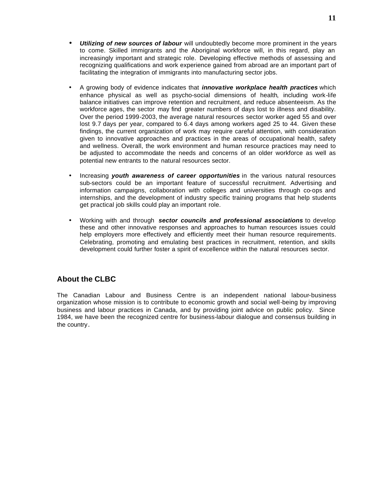- • *Utilizing of new sources of labour* will undoubtedly become more prominent in the years to come. Skilled immigrants and the Aboriginal workforce will, in this regard, play an increasingly important and strategic role. Developing effective methods of assessing and recognizing qualifications and work experience gained from abroad are an important part of facilitating the integration of immigrants into manufacturing sector jobs.
- A growing body of evidence indicates that *innovative workplace health practices* which enhance physical as well as psycho-social dimensions of health, including work-life balance initiatives can improve retention and recruitment, and reduce absenteeism. As the workforce ages, the sector may find greater numbers of days lost to illness and disability. Over the period 1999-2003, the average natural resources sector worker aged 55 and over lost 9.7 days per year, compared to 6.4 days among workers aged 25 to 44. Given these findings, the current organization of work may require careful attention, with consideration given to innovative approaches and practices in the areas of occupational health, safety and wellness. Overall, the work environment and human resource practices may need to be adjusted to accommodate the needs and concerns of an older workforce as well as potential new entrants to the natural resources sector.
- Increasing *youth awareness of career opportunities* in the various natural resources sub-sectors could be an important feature of successful recruitment. Advertising and information campaigns, collaboration with colleges and universities through co-ops and internships, and the development of industry specific training programs that help students get practical job skills could play an important role.
- • Working with and through *sector councils and professional associations* to develop these and other innovative responses and approaches to human resources issues could help employers more effectively and efficiently meet their human resource requirements. Celebrating, promoting and emulating best practices in recruitment, retention, and skills development could further foster a spirit of excellence within the natural resources sector.

# **About the CLBC**

The Canadian Labour and Business Centre is an independent national labour-business organization whose mission is to contribute to economic growth and social well-being by improving business and labour practices in Canada, and by providing joint advice on public policy. Since 1984, we have been the recognized centre for business-labour dialogue and consensus building in the country.